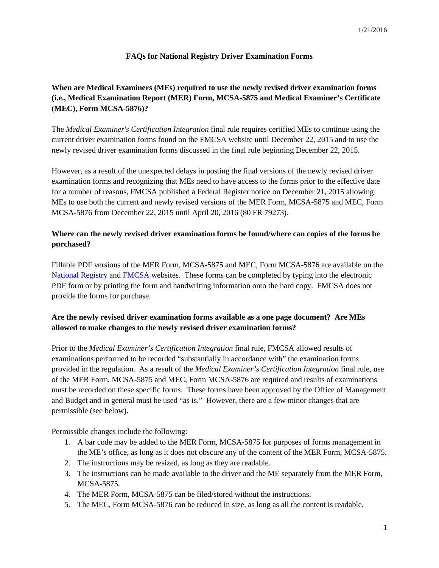### **FAQs for National Registry Driver Examination Forms**

# **When are Medical Examiners (MEs) required to use the newly revised driver examination forms (i.e., Medical Examination Report (MER) Form, MCSA-5875 and Medical Examiner's Certificate (MEC), Form MCSA-5876)?**

The *Medical Examiner's Certification Integration* final rule requires certified MEs to continue using the current driver examination forms found on the FMCSA website until December 22, 2015 and to use the newly revised driver examination forms discussed in the final rule beginning December 22, 2015.

However, as a result of the unexpected delays in posting the final versions of the newly revised driver examination forms and recognizing that MEs need to have access to the forms prior to the effective date for a number of reasons, FMCSA published a Federal Register notice on December 21, 2015 allowing MEs to use both the current and newly revised versions of the MER Form, MCSA-5875 and MEC, Form MCSA-5876 from December 22, 2015 until April 20, 2016 (80 FR 79273).

### **Where can the newly revised driver examination forms be found/where can copies of the forms be purchased?**

Fillable PDF versions of the MER Form, MCSA-5875 and MEC, Form MCSA-5876 are available on the [National Registry](https://nationalregistry.fmcsa.dot.gov/ResourceCenter/) and [FMCSA](https://www.fmcsa.dot.gov/medical/driver-medical-requirements/medical-applications-and-forms) websites. These forms can be completed by typing into the electronic PDF form or by printing the form and handwriting information onto the hard copy. FMCSA does not provide the forms for purchase.

### **Are the newly revised driver examination forms available as a one page document? Are MEs allowed to make changes to the newly revised driver examination forms?**

Prior to the *Medical Examiner's Certification Integration* final rule, FMCSA allowed results of examinations performed to be recorded "substantially in accordance with" the examination forms provided in the regulation. As a result of the *Medical Examiner's Certification Integration* final rule, use of the MER Form, MCSA-5875 and MEC, Form MCSA-5876 are required and results of examinations must be recorded on these specific forms. These forms have been approved by the Office of Management and Budget and in general must be used "as is." However, there are a few minor changes that are permissible (see below).

Permissible changes include the following:

- 1. A bar code may be added to the MER Form, MCSA-5875 for purposes of forms management in the ME's office, as long as it does not obscure any of the content of the MER Form, MCSA-5875.
- 2. The instructions may be resized, as long as they are readable.
- 3. The instructions can be made available to the driver and the ME separately from the MER Form, MCSA-5875.
- 4. The MER Form, MCSA-5875 can be filed/stored without the instructions.
- 5. The MEC, Form MCSA-5876 can be reduced in size, as long as all the content is readable.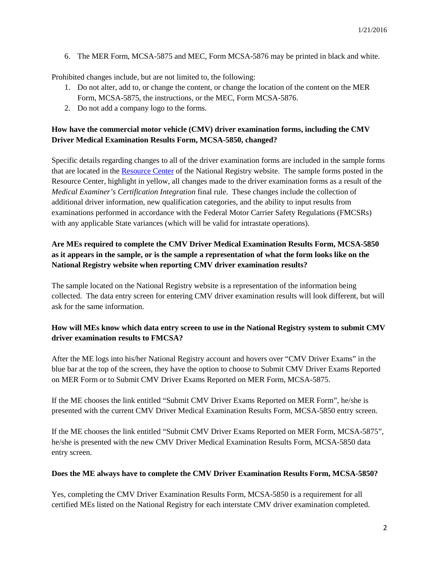6. The MER Form, MCSA-5875 and MEC, Form MCSA-5876 may be printed in black and white.

Prohibited changes include, but are not limited to, the following:

- 1. Do not alter, add to, or change the content, or change the location of the content on the MER Form, MCSA-5875, the instructions, or the MEC, Form MCSA-5876.
- 2. Do not add a company logo to the forms.

### **How have the commercial motor vehicle (CMV) driver examination forms, including the CMV Driver Medical Examination Results Form, MCSA-5850, changed?**

Specific details regarding changes to all of the driver examination forms are included in the sample forms that are located in the [Resource Center](https://nationalregistry.fmcsa.dot.gov/ResourceCenter/) of the National Registry website. The sample forms posted in the Resource Center, highlight in yellow, all changes made to the driver examination forms as a result of the *Medical Examiner's Certification Integration* final rule. These changes include the collection of additional driver information, new qualification categories, and the ability to input results from examinations performed in accordance with the Federal Motor Carrier Safety Regulations (FMCSRs) with any applicable State variances (which will be valid for intrastate operations).

# **Are MEs required to complete the CMV Driver Medical Examination Results Form, MCSA-5850 as it appears in the sample, or is the sample a representation of what the form looks like on the National Registry website when reporting CMV driver examination results?**

The sample located on the National Registry website is a representation of the information being collected. The data entry screen for entering CMV driver examination results will look different, but will ask for the same information.

### **How will MEs know which data entry screen to use in the National Registry system to submit CMV driver examination results to FMCSA?**

After the ME logs into his/her National Registry account and hovers over "CMV Driver Exams" in the blue bar at the top of the screen, they have the option to choose to Submit CMV Driver Exams Reported on MER Form or to Submit CMV Driver Exams Reported on MER Form, MCSA-5875.

If the ME chooses the link entitled "Submit CMV Driver Exams Reported on MER Form", he/she is presented with the current CMV Driver Medical Examination Results Form, MCSA-5850 entry screen.

If the ME chooses the link entitled "Submit CMV Driver Exams Reported on MER Form, MCSA-5875", he/she is presented with the new CMV Driver Medical Examination Results Form, MCSA-5850 data entry screen.

#### **Does the ME always have to complete the CMV Driver Examination Results Form, MCSA-5850?**

Yes, completing the CMV Driver Examination Results Form, MCSA-5850 is a requirement for all certified MEs listed on the National Registry for each interstate CMV driver examination completed.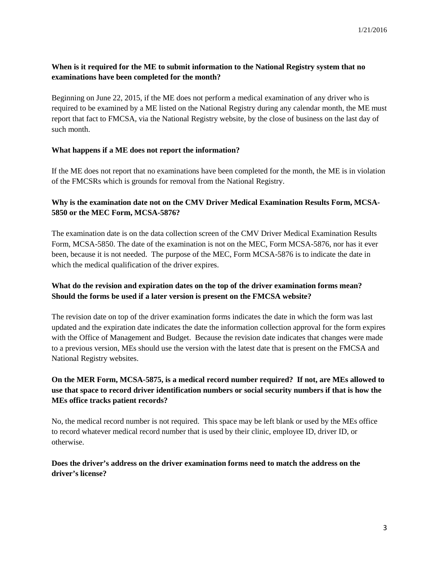### **When is it required for the ME to submit information to the National Registry system that no examinations have been completed for the month?**

Beginning on June 22, 2015, if the ME does not perform a medical examination of any driver who is required to be examined by a ME listed on the National Registry during any calendar month, the ME must report that fact to FMCSA, via the National Registry website, by the close of business on the last day of such month.

### **What happens if a ME does not report the information?**

If the ME does not report that no examinations have been completed for the month, the ME is in violation of the FMCSRs which is grounds for removal from the National Registry.

### **Why is the examination date not on the CMV Driver Medical Examination Results Form, MCSA-5850 or the MEC Form, MCSA-5876?**

The examination date is on the data collection screen of the CMV Driver Medical Examination Results Form, MCSA-5850. The date of the examination is not on the MEC, Form MCSA-5876, nor has it ever been, because it is not needed. The purpose of the MEC, Form MCSA-5876 is to indicate the date in which the medical qualification of the driver expires.

### **What do the revision and expiration dates on the top of the driver examination forms mean? Should the forms be used if a later version is present on the FMCSA website?**

The revision date on top of the driver examination forms indicates the date in which the form was last updated and the expiration date indicates the date the information collection approval for the form expires with the Office of Management and Budget. Because the revision date indicates that changes were made to a previous version, MEs should use the version with the latest date that is present on the FMCSA and National Registry websites.

# **On the MER Form, MCSA-5875, is a medical record number required? If not, are MEs allowed to use that space to record driver identification numbers or social security numbers if that is how the MEs office tracks patient records?**

No, the medical record number is not required. This space may be left blank or used by the MEs office to record whatever medical record number that is used by their clinic, employee ID, driver ID, or otherwise.

**Does the driver's address on the driver examination forms need to match the address on the driver's license?**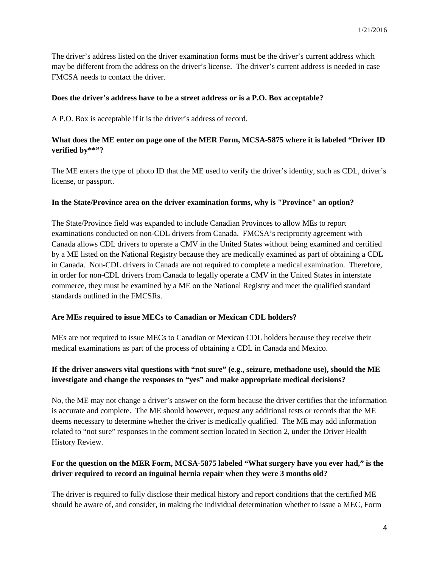The driver's address listed on the driver examination forms must be the driver's current address which may be different from the address on the driver's license. The driver's current address is needed in case FMCSA needs to contact the driver.

#### **Does the driver's address have to be a street address or is a P.O. Box acceptable?**

A P.O. Box is acceptable if it is the driver's address of record.

### **What does the ME enter on page one of the MER Form, MCSA-5875 where it is labeled "Driver ID verified by\*\*"?**

The ME enters the type of photo ID that the ME used to verify the driver's identity, such as CDL, driver's license, or passport.

#### **In the State/Province area on the driver examination forms, why is "Province" an option?**

The State/Province field was expanded to include Canadian Provinces to allow MEs to report examinations conducted on non-CDL drivers from Canada. FMCSA's reciprocity agreement with Canada allows CDL drivers to operate a CMV in the United States without being examined and certified by a ME listed on the National Registry because they are medically examined as part of obtaining a CDL in Canada. Non-CDL drivers in Canada are not required to complete a medical examination. Therefore, in order for non-CDL drivers from Canada to legally operate a CMV in the United States in interstate commerce, they must be examined by a ME on the National Registry and meet the qualified standard standards outlined in the FMCSRs.

#### **Are MEs required to issue MECs to Canadian or Mexican CDL holders?**

MEs are not required to issue MECs to Canadian or Mexican CDL holders because they receive their medical examinations as part of the process of obtaining a CDL in Canada and Mexico.

### **If the driver answers vital questions with "not sure" (e.g., seizure, methadone use), should the ME investigate and change the responses to "yes" and make appropriate medical decisions?**

No, the ME may not change a driver's answer on the form because the driver certifies that the information is accurate and complete. The ME should however, request any additional tests or records that the ME deems necessary to determine whether the driver is medically qualified. The ME may add information related to "not sure" responses in the comment section located in Section 2, under the Driver Health History Review.

### **For the question on the MER Form, MCSA-5875 labeled "What surgery have you ever had," is the driver required to record an inguinal hernia repair when they were 3 months old?**

The driver is required to fully disclose their medical history and report conditions that the certified ME should be aware of, and consider, in making the individual determination whether to issue a MEC, Form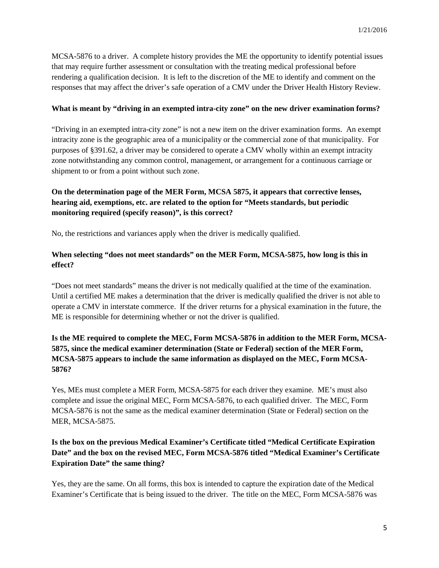MCSA-5876 to a driver. A complete history provides the ME the opportunity to identify potential issues that may require further assessment or consultation with the treating medical professional before rendering a qualification decision. It is left to the discretion of the ME to identify and comment on the responses that may affect the driver's safe operation of a CMV under the Driver Health History Review.

### **What is meant by "driving in an exempted intra-city zone" on the new driver examination forms?**

"Driving in an exempted intra-city zone" is not a new item on the driver examination forms. An exempt intracity zone is the geographic area of a municipality or the commercial zone of that municipality. For purposes of §391.62, a driver may be considered to operate a CMV wholly within an exempt intracity zone notwithstanding any common control, management, or arrangement for a continuous carriage or shipment to or from a point without such zone.

# **On the determination page of the MER Form, MCSA 5875, it appears that corrective lenses, hearing aid, exemptions, etc. are related to the option for "Meets standards, but periodic monitoring required (specify reason)", is this correct?**

No, the restrictions and variances apply when the driver is medically qualified.

### **When selecting "does not meet standards" on the MER Form, MCSA-5875, how long is this in effect?**

"Does not meet standards" means the driver is not medically qualified at the time of the examination. Until a certified ME makes a determination that the driver is medically qualified the driver is not able to operate a CMV in interstate commerce. If the driver returns for a physical examination in the future, the ME is responsible for determining whether or not the driver is qualified.

# **Is the ME required to complete the MEC, Form MCSA-5876 in addition to the MER Form, MCSA-5875, since the medical examiner determination (State or Federal) section of the MER Form, MCSA-5875 appears to include the same information as displayed on the MEC, Form MCSA-5876?**

Yes, MEs must complete a MER Form, MCSA-5875 for each driver they examine. ME's must also complete and issue the original MEC, Form MCSA-5876, to each qualified driver. The MEC, Form MCSA-5876 is not the same as the medical examiner determination (State or Federal) section on the MER, MCSA-5875.

# **Is the box on the previous Medical Examiner's Certificate titled "Medical Certificate Expiration Date" and the box on the revised MEC, Form MCSA-5876 titled "Medical Examiner's Certificate Expiration Date" the same thing?**

Yes, they are the same. On all forms, this box is intended to capture the expiration date of the Medical Examiner's Certificate that is being issued to the driver. The title on the MEC, Form MCSA-5876 was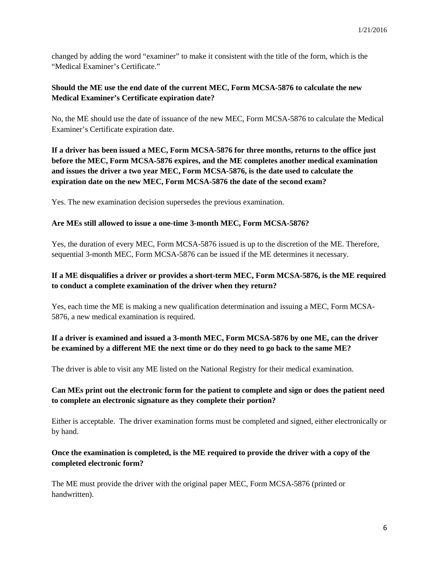changed by adding the word "examiner" to make it consistent with the title of the form, which is the "Medical Examiner's Certificate."

### **Should the ME use the end date of the current MEC, Form MCSA-5876 to calculate the new Medical Examiner's Certificate expiration date?**

No, the ME should use the date of issuance of the new MEC, Form MCSA-5876 to calculate the Medical Examiner's Certificate expiration date.

**If a driver has been issued a MEC, Form MCSA-5876 for three months, returns to the office just before the MEC, Form MCSA-5876 expires, and the ME completes another medical examination and issues the driver a two year MEC, Form MCSA-5876, is the date used to calculate the expiration date on the new MEC, Form MCSA-5876 the date of the second exam?**

Yes. The new examination decision supersedes the previous examination.

### **Are MEs still allowed to issue a one-time 3-month MEC, Form MCSA-5876?**

Yes, the duration of every MEC, Form MCSA-5876 issued is up to the discretion of the ME. Therefore, sequential 3-month MEC, Form MCSA-5876 can be issued if the ME determines it necessary.

### **If a ME disqualifies a driver or provides a short-term MEC, Form MCSA-5876, is the ME required to conduct a complete examination of the driver when they return?**

Yes, each time the ME is making a new qualification determination and issuing a MEC, Form MCSA-5876, a new medical examination is required.

# **If a driver is examined and issued a 3-month MEC, Form MCSA-5876 by one ME, can the driver be examined by a different ME the next time or do they need to go back to the same ME?**

The driver is able to visit any ME listed on the National Registry for their medical examination.

### **Can MEs print out the electronic form for the patient to complete and sign or does the patient need to complete an electronic signature as they complete their portion?**

Either is acceptable. The driver examination forms must be completed and signed, either electronically or by hand.

## **Once the examination is completed, is the ME required to provide the driver with a copy of the completed electronic form?**

The ME must provide the driver with the original paper MEC, Form MCSA-5876 (printed or handwritten).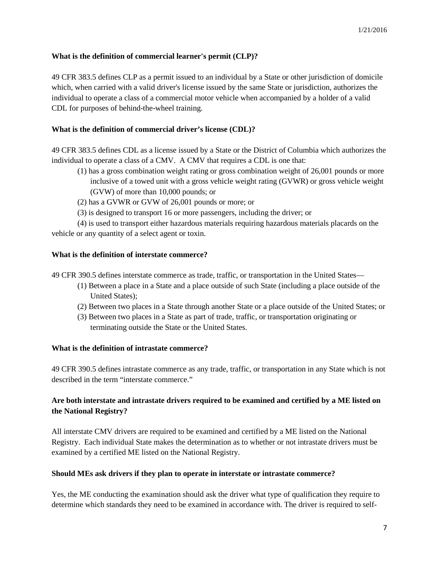### **What is the definition of commercial learner's permit (CLP)?**

49 CFR 383.5 defines CLP as a permit issued to an individual by a State or other jurisdiction of domicile which, when carried with a valid driver's license issued by the same State or jurisdiction, authorizes the individual to operate a class of a commercial motor vehicle when accompanied by a holder of a valid CDL for purposes of behind-the-wheel training.

### **What is the definition of commercial driver's license (CDL)?**

49 CFR 383.5 defines CDL as a license issued by a State or the District of Columbia which authorizes the individual to operate a class of a CMV. A CMV that requires a CDL is one that:

- (1) has a gross combination weight rating or gross combination weight of 26,001 pounds or more inclusive of a towed unit with a gross vehicle weight rating (GVWR) or gross vehicle weight (GVW) of more than 10,000 pounds; or
- (2) has a GVWR or GVW of 26,001 pounds or more; or
- (3) is designed to transport 16 or more passengers, including the driver; or

(4) is used to transport either hazardous materials requiring hazardous materials placards on the vehicle or any quantity of a select agent or toxin.

#### **What is the definition of interstate commerce?**

49 CFR 390.5 defines interstate commerce as trade, traffic, or transportation in the United States—

- (1) Between a place in a State and a place outside of such State (including a place outside of the United States);
- (2) Between two places in a State through another State or a place outside of the United States; or
- (3) Between two places in a State as part of trade, traffic, or transportation originating or terminating outside the State or the United States.

### **What is the definition of intrastate commerce?**

49 CFR 390.5 defines intrastate commerce as any trade, traffic, or transportation in any State which is not described in the term "interstate commerce."

### **Are both interstate and intrastate drivers required to be examined and certified by a ME listed on the National Registry?**

All interstate CMV drivers are required to be examined and certified by a ME listed on the National Registry. Each individual State makes the determination as to whether or not intrastate drivers must be examined by a certified ME listed on the National Registry.

#### **Should MEs ask drivers if they plan to operate in interstate or intrastate commerce?**

Yes, the ME conducting the examination should ask the driver what type of qualification they require to determine which standards they need to be examined in accordance with. The driver is required to self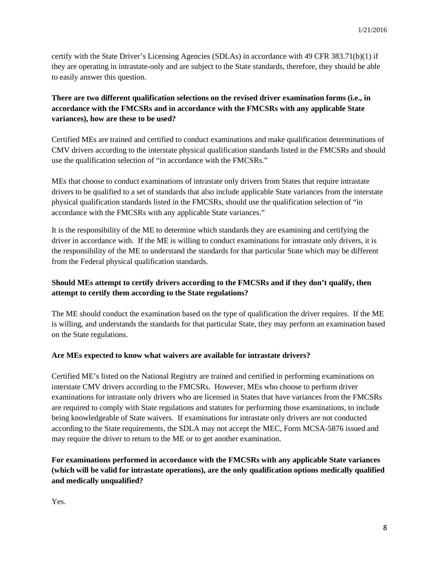certify with the State Driver's Licensing Agencies (SDLAs) in accordance with 49 CFR 383.71(b)(1) if they are operating in intrastate-only and are subject to the State standards, therefore, they should be able to easily answer this question.

# **There are two different qualification selections on the revised driver examination forms (i.e., in accordance with the FMCSRs and in accordance with the FMCSRs with any applicable State variances), how are these to be used?**

Certified MEs are trained and certified to conduct examinations and make qualification determinations of CMV drivers according to the interstate physical qualification standards listed in the FMCSRs and should use the qualification selection of "in accordance with the FMCSRs."

MEs that choose to conduct examinations of intrastate only drivers from States that require intrastate drivers to be qualified to a set of standards that also include applicable State variances from the interstate physical qualification standards listed in the FMCSRs, should use the qualification selection of "in accordance with the FMCSRs with any applicable State variances."

It is the responsibility of the ME to determine which standards they are examining and certifying the driver in accordance with. If the ME is willing to conduct examinations for intrastate only drivers, it is the responsibility of the ME to understand the standards for that particular State which may be different from the Federal physical qualification standards.

# **Should MEs attempt to certify drivers according to the FMCSRs and if they don't qualify, then attempt to certify them according to the State regulations?**

The ME should conduct the examination based on the type of qualification the driver requires. If the ME is willing, and understands the standards for that particular State, they may perform an examination based on the State regulations.

# **Are MEs expected to know what waivers are available for intrastate drivers?**

Certified ME's listed on the National Registry are trained and certified in performing examinations on interstate CMV drivers according to the FMCSRs. However, MEs who choose to perform driver examinations for intrastate only drivers who are licensed in States that have variances from the FMCSRs are required to comply with State regulations and statutes for performing those examinations, to include being knowledgeable of State waivers. If examinations for intrastate only drivers are not conducted according to the State requirements, the SDLA may not accept the MEC, Form MCSA-5876 issued and may require the driver to return to the ME or to get another examination.

# **For examinations performed in accordance with the FMCSRs with any applicable State variances (which will be valid for intrastate operations), are the only qualification options medically qualified and medically unqualified?**

Yes.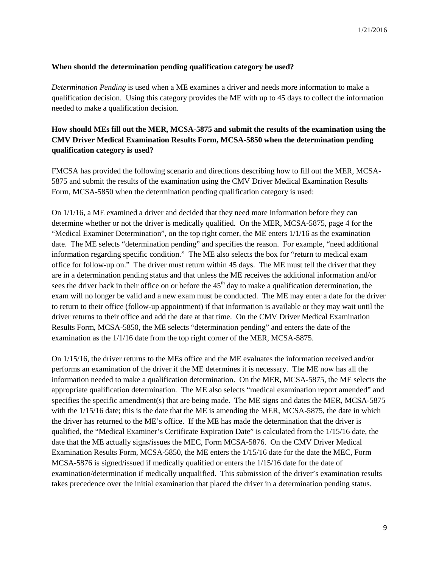#### **When should the determination pending qualification category be used?**

*Determination Pending* is used when a ME examines a driver and needs more information to make a qualification decision. Using this category provides the ME with up to 45 days to collect the information needed to make a qualification decision.

## **How should MEs fill out the MER, MCSA-5875 and submit the results of the examination using the CMV Driver Medical Examination Results Form, MCSA-5850 when the determination pending qualification category is used?**

FMCSA has provided the following scenario and directions describing how to fill out the MER, MCSA-5875 and submit the results of the examination using the CMV Driver Medical Examination Results Form, MCSA-5850 when the determination pending qualification category is used:

On 1/1/16, a ME examined a driver and decided that they need more information before they can determine whether or not the driver is medically qualified. On the MER, MCSA-5875, page 4 for the "Medical Examiner Determination", on the top right corner, the ME enters 1/1/16 as the examination date. The ME selects "determination pending" and specifies the reason. For example, "need additional information regarding specific condition." The ME also selects the box for "return to medical exam office for follow-up on." The driver must return within 45 days. The ME must tell the driver that they are in a determination pending status and that unless the ME receives the additional information and/or sees the driver back in their office on or before the  $45<sup>th</sup>$  day to make a qualification determination, the exam will no longer be valid and a new exam must be conducted. The ME may enter a date for the driver to return to their office (follow-up appointment) if that information is available or they may wait until the driver returns to their office and add the date at that time. On the CMV Driver Medical Examination Results Form, MCSA-5850, the ME selects "determination pending" and enters the date of the examination as the 1/1/16 date from the top right corner of the MER, MCSA-5875.

On 1/15/16, the driver returns to the MEs office and the ME evaluates the information received and/or performs an examination of the driver if the ME determines it is necessary. The ME now has all the information needed to make a qualification determination. On the MER, MCSA-5875, the ME selects the appropriate qualification determination. The ME also selects "medical examination report amended" and specifies the specific amendment(s) that are being made. The ME signs and dates the MER, MCSA-5875 with the  $1/15/16$  date; this is the date that the ME is amending the MER, MCSA-5875, the date in which the driver has returned to the ME's office. If the ME has made the determination that the driver is qualified, the "Medical Examiner's Certificate Expiration Date" is calculated from the 1/15/16 date, the date that the ME actually signs/issues the MEC, Form MCSA-5876. On the CMV Driver Medical Examination Results Form, MCSA-5850, the ME enters the 1/15/16 date for the date the MEC, Form MCSA-5876 is signed/issued if medically qualified or enters the 1/15/16 date for the date of examination/determination if medically unqualified. This submission of the driver's examination results takes precedence over the initial examination that placed the driver in a determination pending status.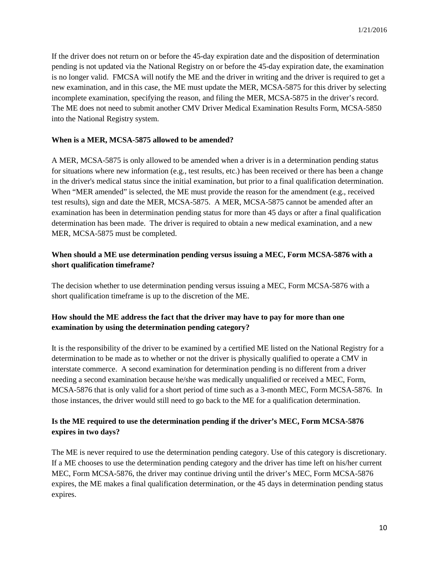If the driver does not return on or before the 45-day expiration date and the disposition of determination pending is not updated via the National Registry on or before the 45-day expiration date, the examination is no longer valid. FMCSA will notify the ME and the driver in writing and the driver is required to get a new examination, and in this case, the ME must update the MER, MCSA-5875 for this driver by selecting incomplete examination, specifying the reason, and filing the MER, MCSA-5875 in the driver's record. The ME does not need to submit another CMV Driver Medical Examination Results Form, MCSA-5850 into the National Registry system.

#### **When is a MER, MCSA-5875 allowed to be amended?**

A MER, MCSA-5875 is only allowed to be amended when a driver is in a determination pending status for situations where new information (e.g., test results, etc.) has been received or there has been a change in the driver's medical status since the initial examination, but prior to a final qualification determination. When "MER amended" is selected, the ME must provide the reason for the amendment (e.g., received test results), sign and date the MER, MCSA-5875. A MER, MCSA-5875 cannot be amended after an examination has been in determination pending status for more than 45 days or after a final qualification determination has been made. The driver is required to obtain a new medical examination, and a new MER, MCSA-5875 must be completed.

### **When should a ME use determination pending versus issuing a MEC, Form MCSA-5876 with a short qualification timeframe?**

The decision whether to use determination pending versus issuing a MEC, Form MCSA-5876 with a short qualification timeframe is up to the discretion of the ME.

### **How should the ME address the fact that the driver may have to pay for more than one examination by using the determination pending category?**

It is the responsibility of the driver to be examined by a certified ME listed on the National Registry for a determination to be made as to whether or not the driver is physically qualified to operate a CMV in interstate commerce. A second examination for determination pending is no different from a driver needing a second examination because he/she was medically unqualified or received a MEC, Form, MCSA-5876 that is only valid for a short period of time such as a 3-month MEC, Form MCSA-5876. In those instances, the driver would still need to go back to the ME for a qualification determination.

### **Is the ME required to use the determination pending if the driver's MEC, Form MCSA-5876 expires in two days?**

The ME is never required to use the determination pending category. Use of this category is discretionary. If a ME chooses to use the determination pending category and the driver has time left on his/her current MEC, Form MCSA-5876, the driver may continue driving until the driver's MEC, Form MCSA-5876 expires, the ME makes a final qualification determination, or the 45 days in determination pending status expires.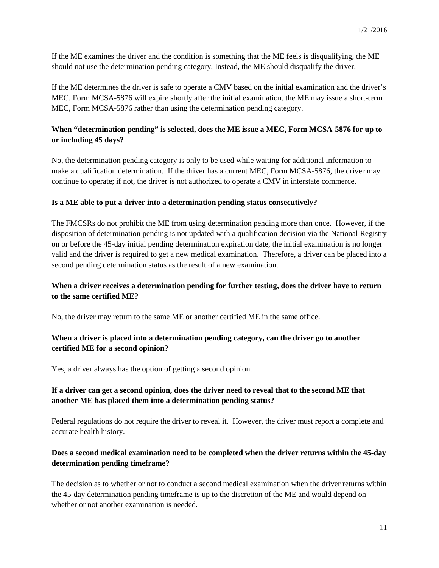If the ME examines the driver and the condition is something that the ME feels is disqualifying, the ME should not use the determination pending category. Instead, the ME should disqualify the driver.

If the ME determines the driver is safe to operate a CMV based on the initial examination and the driver's MEC, Form MCSA-5876 will expire shortly after the initial examination, the ME may issue a short-term MEC, Form MCSA-5876 rather than using the determination pending category.

### **When "determination pending" is selected, does the ME issue a MEC, Form MCSA-5876 for up to or including 45 days?**

No, the determination pending category is only to be used while waiting for additional information to make a qualification determination. If the driver has a current MEC, Form MCSA-5876, the driver may continue to operate; if not, the driver is not authorized to operate a CMV in interstate commerce.

### **Is a ME able to put a driver into a determination pending status consecutively?**

The FMCSRs do not prohibit the ME from using determination pending more than once. However, if the disposition of determination pending is not updated with a qualification decision via the National Registry on or before the 45-day initial pending determination expiration date, the initial examination is no longer valid and the driver is required to get a new medical examination. Therefore, a driver can be placed into a second pending determination status as the result of a new examination.

### **When a driver receives a determination pending for further testing, does the driver have to return to the same certified ME?**

No, the driver may return to the same ME or another certified ME in the same office.

### **When a driver is placed into a determination pending category, can the driver go to another certified ME for a second opinion?**

Yes, a driver always has the option of getting a second opinion.

### **If a driver can get a second opinion, does the driver need to reveal that to the second ME that another ME has placed them into a determination pending status?**

Federal regulations do not require the driver to reveal it. However, the driver must report a complete and accurate health history.

### **Does a second medical examination need to be completed when the driver returns within the 45-day determination pending timeframe?**

The decision as to whether or not to conduct a second medical examination when the driver returns within the 45-day determination pending timeframe is up to the discretion of the ME and would depend on whether or not another examination is needed.